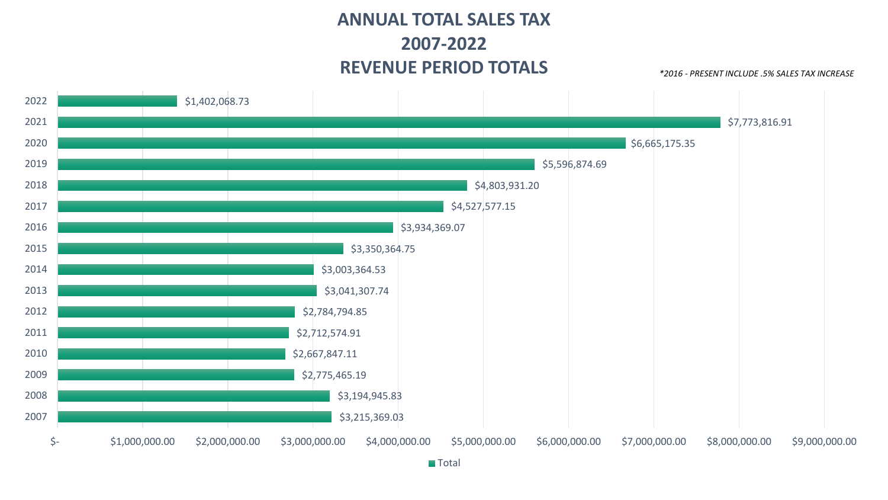## **ANNUAL TOTAL SALES TAX 2007-2022 REVENUE PERIOD TOTALS**

*\*2016 - PRESENT INCLUDE .5% SALES TAX INCREASE*

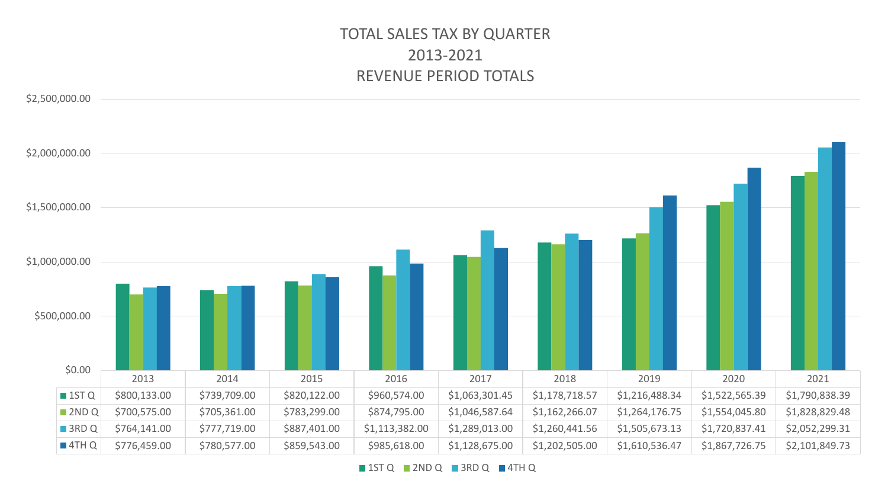### TOTAL SALES TAX BY QUARTER 2013-2021 REVENUE PERIOD TOTALS

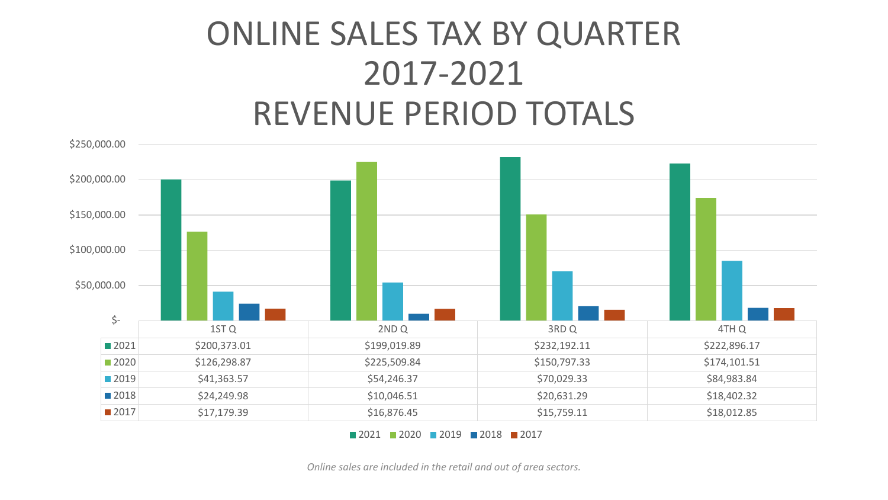# ONLINE SALES TAX BY QUARTER 2017-2021 REVENUE PERIOD TOTALS



**2021 2020 2019 2018 2017** 

*Online sales are included in the retail and out of area sectors.*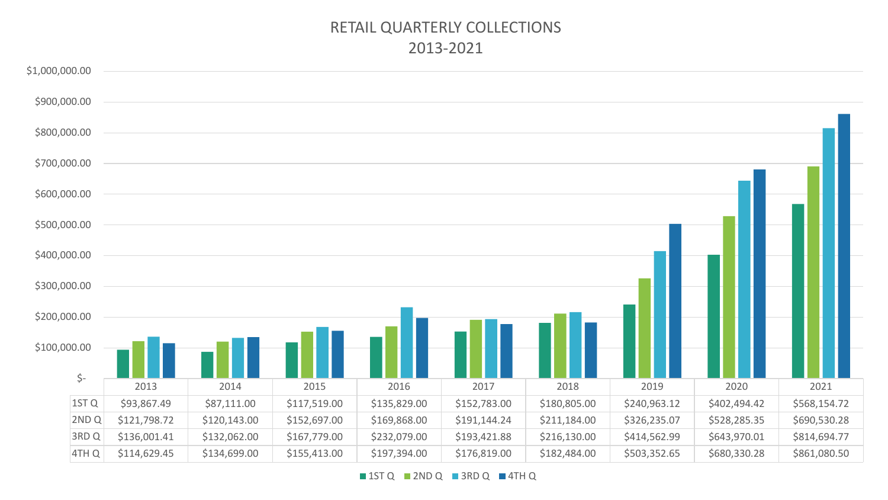### RETAIL QUARTERLY COLLECTIONS 2013-2021

| \$1,000,000.00 |                  |              |              |              |              |              |              |              |              |              |
|----------------|------------------|--------------|--------------|--------------|--------------|--------------|--------------|--------------|--------------|--------------|
| \$900,000.00   |                  |              |              |              |              |              |              |              |              |              |
| \$800,000.00   |                  |              |              |              |              |              |              |              |              |              |
| \$700,000.00   |                  |              |              |              |              |              |              |              |              |              |
| \$600,000.00   |                  |              |              |              |              |              |              |              |              |              |
| \$500,000.00   |                  |              |              |              |              |              |              |              |              |              |
| \$400,000.00   |                  |              |              |              |              |              |              |              |              |              |
| \$300,000.00   |                  |              |              |              |              |              |              |              |              |              |
| \$200,000.00   |                  |              |              |              |              |              |              |              |              |              |
| \$100,000.00   | $\zeta$ -        |              |              |              |              |              |              |              |              |              |
|                |                  | 2013         | 2014         | 2015         | 2016         | 2017         | 2018         | 2019         | 2020         | 2021         |
|                | 1ST <sub>Q</sub> | \$93,867.49  | \$87,111.00  | \$117,519.00 | \$135,829.00 | \$152,783.00 | \$180,805.00 | \$240,963.12 | \$402,494.42 | \$568,154.72 |
|                | 2ND <sub>Q</sub> | \$121,798.72 | \$120,143.00 | \$152,697.00 | \$169,868.00 | \$191,144.24 | \$211,184.00 | \$326,235.07 | \$528,285.35 | \$690,530.28 |
|                | 3RD Q            | \$136,001.41 | \$132,062.00 | \$167,779.00 | \$232,079.00 | \$193,421.88 | \$216,130.00 | \$414,562.99 | \$643,970.01 | \$814,694.77 |
|                | 4TH Q            | \$114,629.45 | \$134,699.00 | \$155,413.00 | \$197,394.00 | \$176,819.00 | \$182,484.00 | \$503,352.65 | \$680,330.28 | \$861,080.50 |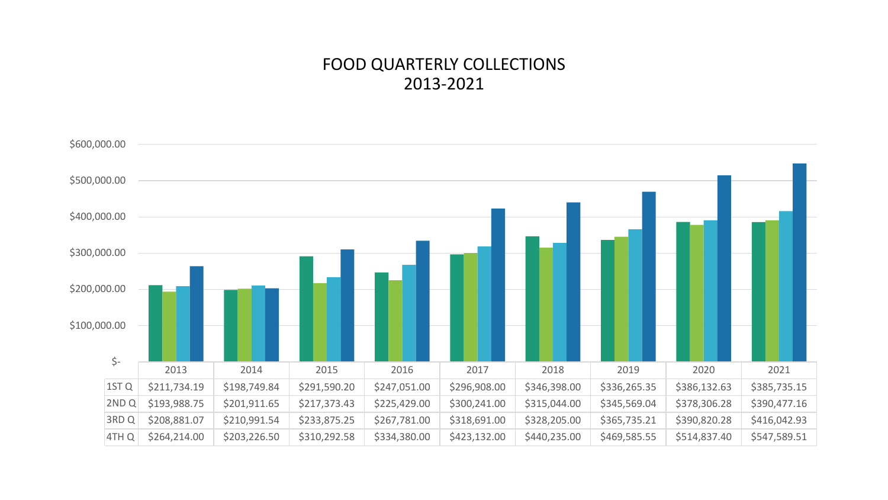#### FOOD QUARTERLY COLLECTIONS 2013-2021

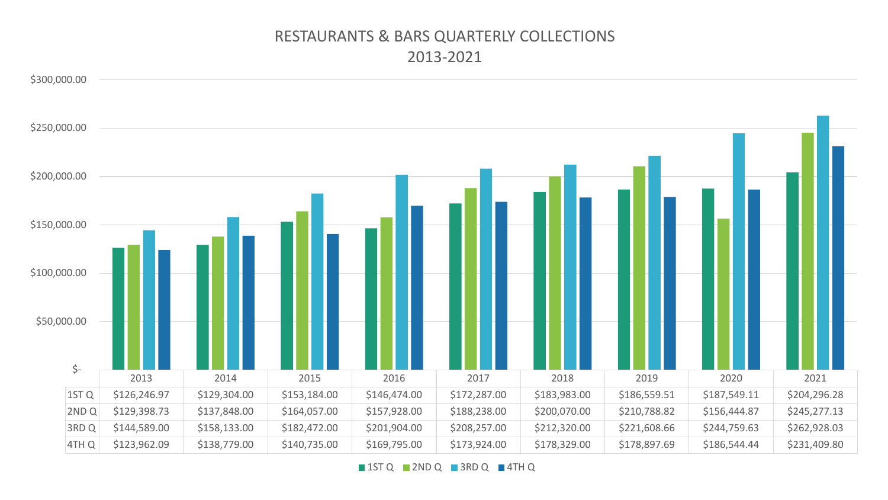#### RESTAURANTS & BARS QUARTERLY COLLECTIONS 2013-2021

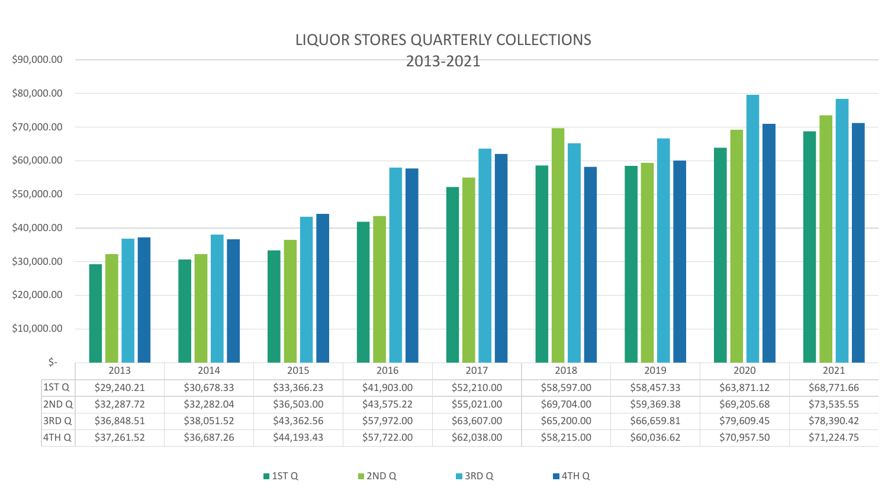#### LIQUOR STORES QUARTERLY COLLECTIONS



■ 1ST Q ■ 2ND Q 3RD Q ■ 4TH Q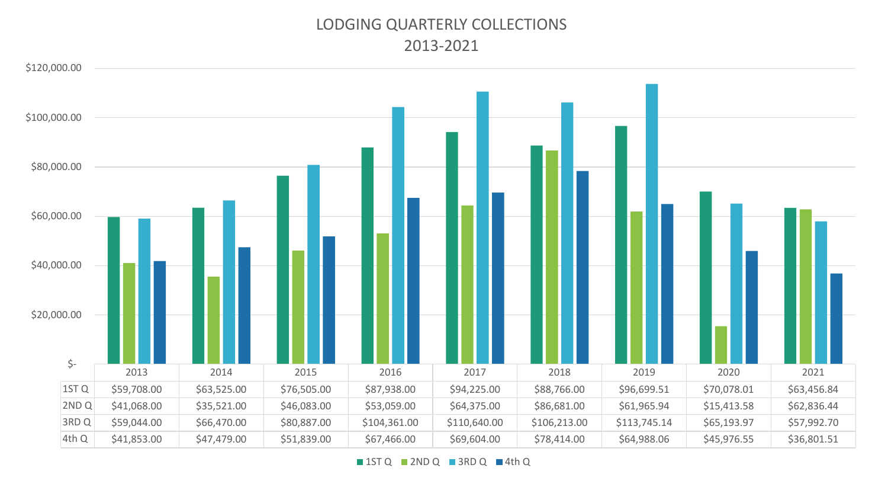#### LODGING QUARTERLY COLLECTIONS 2013-2021

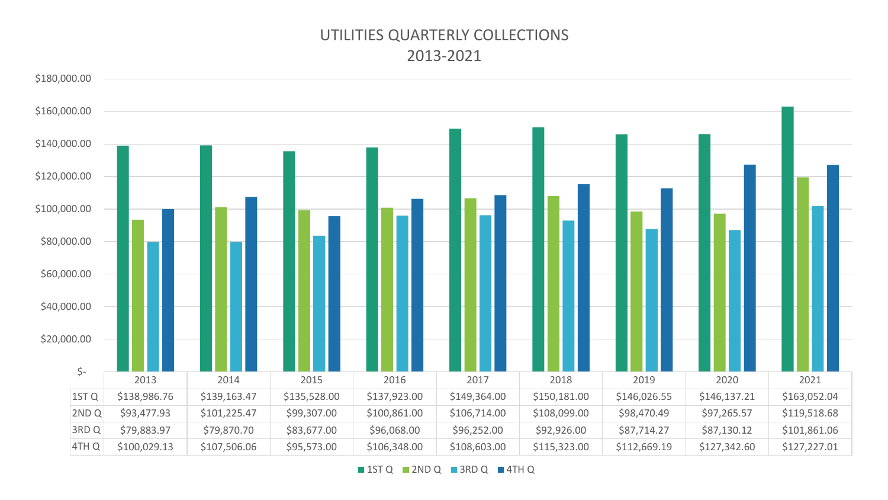#### UTILITIES QUARTERLY COLLECTIONS 2013-2021

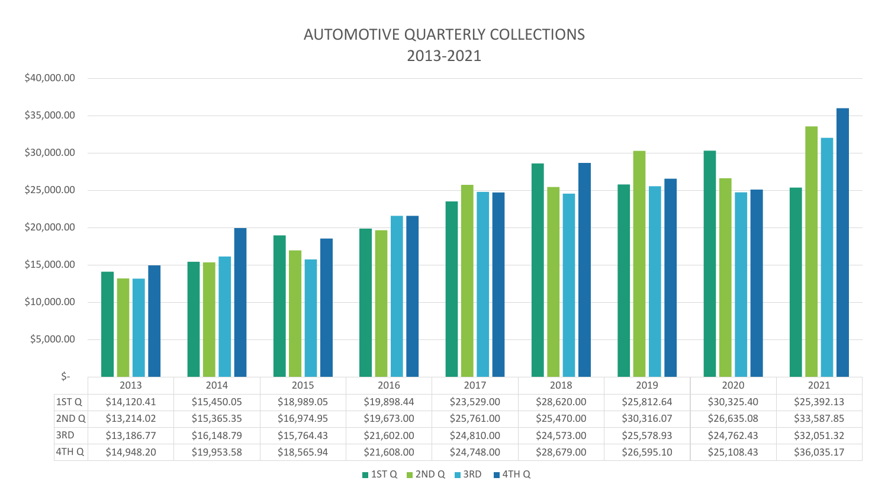#### AUTOMOTIVE QUARTERLY COLLECTIONS 2013-2021

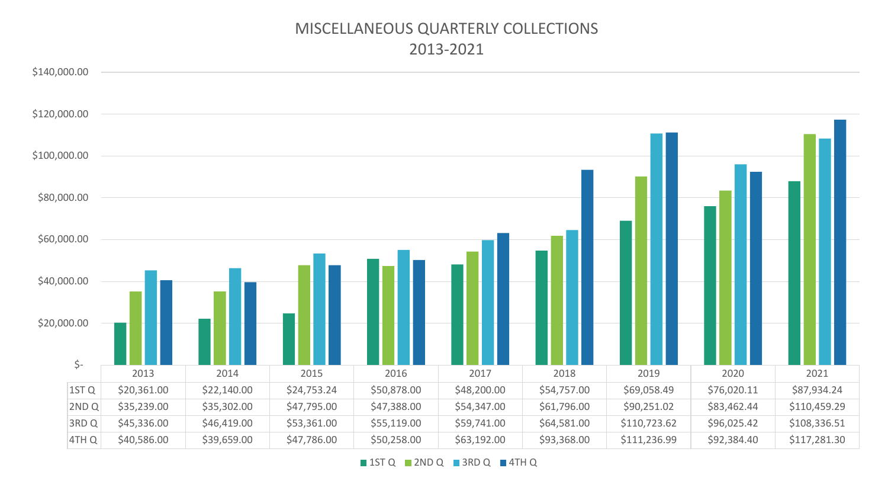#### MISCELLANEOUS QUARTERLY COLLECTIONS 2013-2021

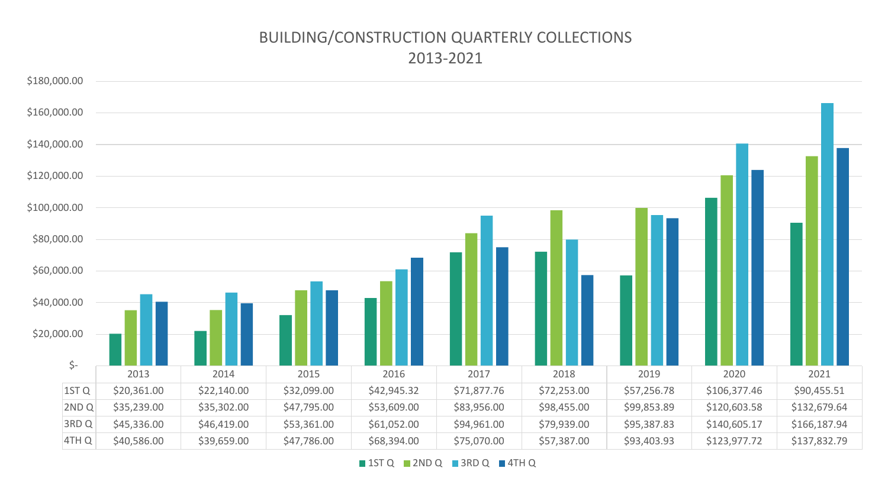#### BUILDING/CONSTRUCTION QUARTERLY COLLECTIONS 2013-2021

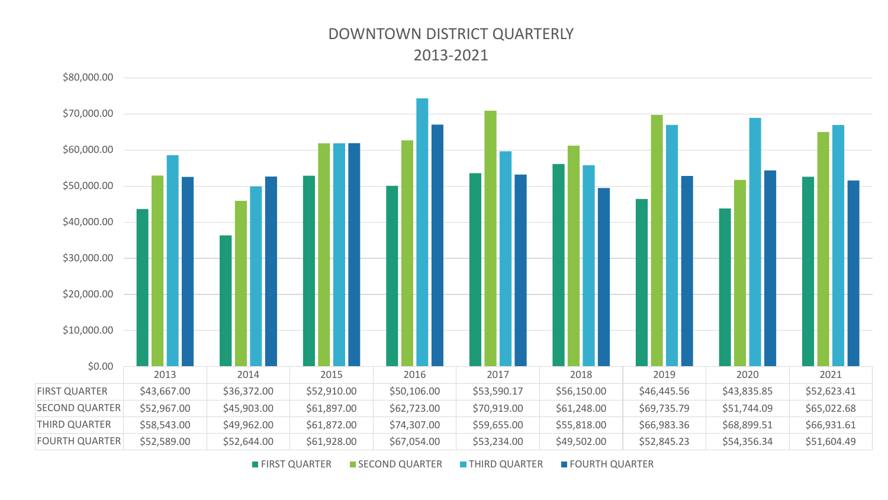#### DOWNTOWN DISTRICT QUARTERLY 2013-2021

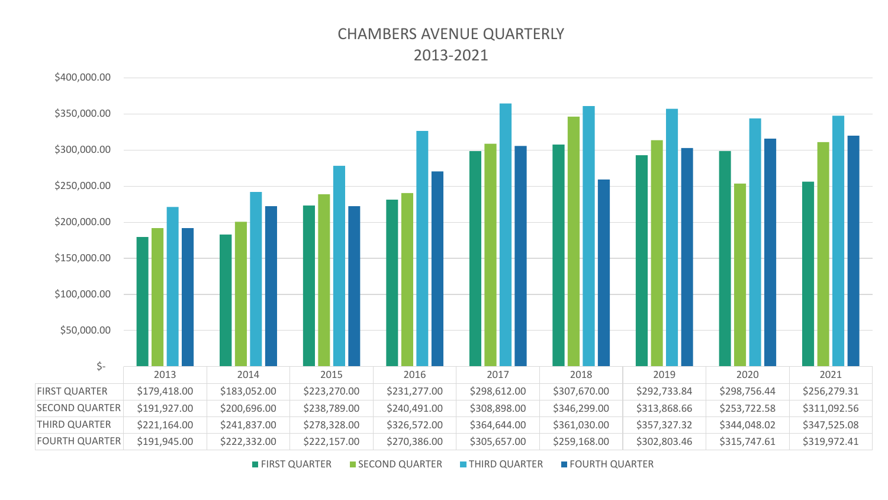#### CHAMBERS AVENUE QUARTERLY 2013-2021

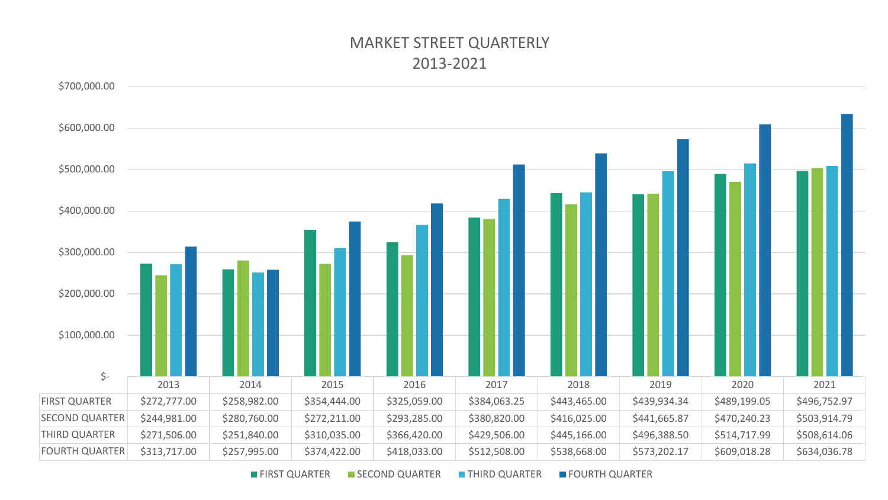#### MARKET STREET QUARTERLY 2013-2021

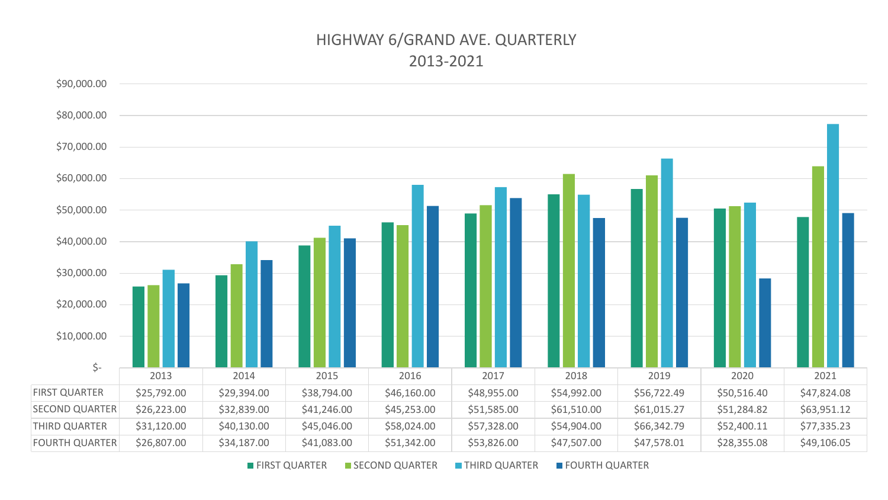#### HIGHWAY 6/GRAND AVE. QUARTERLY 2013-2021

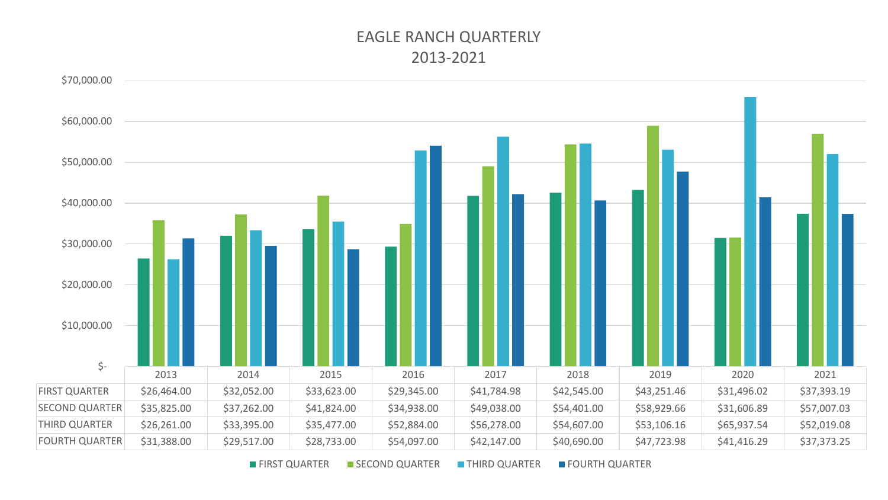#### EAGLE RANCH QUARTERLY 2013-2021